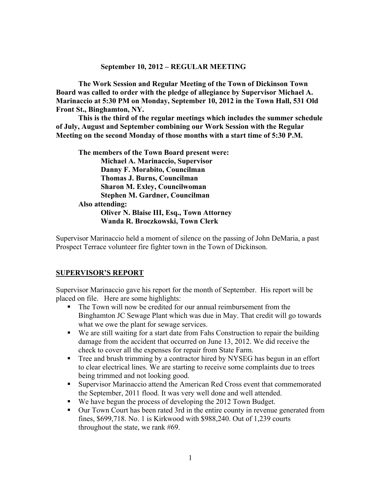#### **September 10, 2012 – REGULAR MEETING**

**The Work Session and Regular Meeting of the Town of Dickinson Town Board was called to order with the pledge of allegiance by Supervisor Michael A. Marinaccio at 5:30 PM on Monday, September 10, 2012 in the Town Hall, 531 Old Front St., Binghamton, NY.** 

**This is the third of the regular meetings which includes the summer schedule of July, August and September combining our Work Session with the Regular Meeting on the second Monday of those months with a start time of 5:30 P.M.**

**The members of the Town Board present were: Michael A. Marinaccio, Supervisor Danny F. Morabito, Councilman Thomas J. Burns, Councilman Sharon M. Exley, Councilwoman Stephen M. Gardner, Councilman Also attending: Oliver N. Blaise III, Esq., Town Attorney Wanda R. Broczkowski, Town Clerk** 

Supervisor Marinaccio held a moment of silence on the passing of John DeMaria, a past Prospect Terrace volunteer fire fighter town in the Town of Dickinson.

#### **SUPERVISOR'S REPORT**

Supervisor Marinaccio gave his report for the month of September. His report will be placed on file. Here are some highlights:

- The Town will now be credited for our annual reimbursement from the Binghamton JC Sewage Plant which was due in May. That credit will go towards what we owe the plant for sewage services.
- We are still waiting for a start date from Fahs Construction to repair the building damage from the accident that occurred on June 13, 2012. We did receive the check to cover all the expenses for repair from State Farm.
- Tree and brush trimming by a contractor hired by NYSEG has begun in an effort to clear electrical lines. We are starting to receive some complaints due to trees being trimmed and not looking good.
- Supervisor Marinaccio attend the American Red Cross event that commemorated the September, 2011 flood. It was very well done and well attended.
- We have begun the process of developing the 2012 Town Budget.
- Our Town Court has been rated 3rd in the entire county in revenue generated from fines, \$699,718. No. 1 is Kirkwood with \$988,240. Out of 1,239 courts throughout the state, we rank #69.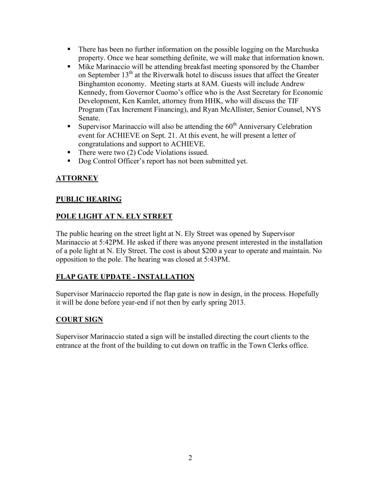- There has been no further information on the possible logging on the Marchuska property. Once we hear something definite, we will make that information known.
- Mike Marinaccio will be attending breakfast meeting sponsored by the Chamber on September 13<sup>th</sup> at the Riverwalk hotel to discuss issues that affect the Greater Binghamton economy. Meeting starts at 8AM. Guests will include Andrew Kennedy, from Governor Cuomo's office who is the Asst Secretary for Economic Development, Ken Kamlet, attorney from HHK, who will discuss the TIF Program (Tax Increment Financing), and Ryan McAllister, Senior Counsel, NYS Senate.
- Supervisor Marinaccio will also be attending the  $60<sup>th</sup>$  Anniversary Celebration event for ACHIEVE on Sept. 21. At this event, he will present a letter of congratulations and support to ACHIEVE.
- $\blacksquare$  There were two (2) Code Violations issued.
- Dog Control Officer's report has not been submitted yet.

# **ATTORNEY**

### **PUBLIC HEARING**

# **POLE LIGHT AT N. ELY STREET**

The public hearing on the street light at N. Ely Street was opened by Supervisor Marinaccio at 5:42PM. He asked if there was anyone present interested in the installation of a pole light at N. Ely Street. The cost is about \$200 a year to operate and maintain. No opposition to the pole. The hearing was closed at 5:43PM.

# **FLAP GATE UPDATE - INSTALLATION**

Supervisor Marinaccio reported the flap gate is now in design, in the process. Hopefully it will be done before year-end if not then by early spring 2013.

# **COURT SIGN**

Supervisor Marinaccio stated a sign will be installed directing the court clients to the entrance at the front of the building to cut down on traffic in the Town Clerks office.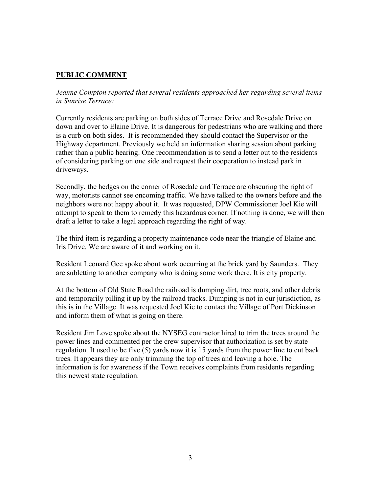### **PUBLIC COMMENT**

*Jeanne Compton reported that several residents approached her regarding several items in Sunrise Terrace:*

Currently residents are parking on both sides of Terrace Drive and Rosedale Drive on down and over to Elaine Drive. It is dangerous for pedestrians who are walking and there is a curb on both sides. It is recommended they should contact the Supervisor or the Highway department. Previously we held an information sharing session about parking rather than a public hearing. One recommendation is to send a letter out to the residents of considering parking on one side and request their cooperation to instead park in driveways.

Secondly, the hedges on the corner of Rosedale and Terrace are obscuring the right of way, motorists cannot see oncoming traffic. We have talked to the owners before and the neighbors were not happy about it. It was requested, DPW Commissioner Joel Kie will attempt to speak to them to remedy this hazardous corner. If nothing is done, we will then draft a letter to take a legal approach regarding the right of way.

The third item is regarding a property maintenance code near the triangle of Elaine and Iris Drive. We are aware of it and working on it.

Resident Leonard Gee spoke about work occurring at the brick yard by Saunders. They are subletting to another company who is doing some work there. It is city property.

At the bottom of Old State Road the railroad is dumping dirt, tree roots, and other debris and temporarily pilling it up by the railroad tracks. Dumping is not in our jurisdiction, as this is in the Village. It was requested Joel Kie to contact the Village of Port Dickinson and inform them of what is going on there.

Resident Jim Love spoke about the NYSEG contractor hired to trim the trees around the power lines and commented per the crew supervisor that authorization is set by state regulation. It used to be five (5) yards now it is 15 yards from the power line to cut back trees. It appears they are only trimming the top of trees and leaving a hole. The information is for awareness if the Town receives complaints from residents regarding this newest state regulation.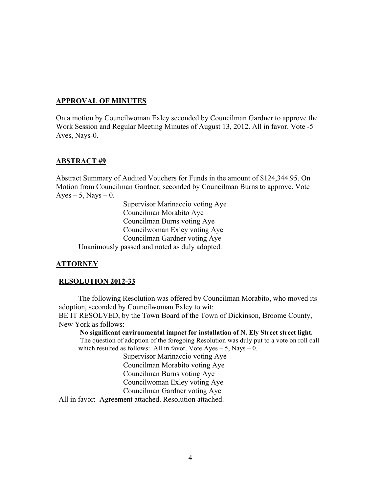#### **APPROVAL OF MINUTES**

On a motion by Councilwoman Exley seconded by Councilman Gardner to approve the Work Session and Regular Meeting Minutes of August 13, 2012. All in favor. Vote -5 Ayes, Nays-0.

#### **ABSTRACT #9**

Abstract Summary of Audited Vouchers for Funds in the amount of \$124,344.95. On Motion from Councilman Gardner, seconded by Councilman Burns to approve. Vote  $Ayes - 5$ , Nays  $-0$ .

Supervisor Marinaccio voting Aye Councilman Morabito Aye Councilman Burns voting Aye Councilwoman Exley voting Aye Councilman Gardner voting Aye Unanimously passed and noted as duly adopted.

### **ATTORNEY**

### **RESOLUTION 2012-33**

The following Resolution was offered by Councilman Morabito, who moved its adoption, seconded by Councilwoman Exley to wit:

BE IT RESOLVED, by the Town Board of the Town of Dickinson, Broome County, New York as follows:

**No significant environmental impact for installation of N. Ely Street street light.**  The question of adoption of the foregoing Resolution was duly put to a vote on roll call which resulted as follows: All in favor. Vote  $Ayes - 5$ , Nays  $- 0$ .

Supervisor Marinaccio voting Aye Councilman Morabito voting Aye Councilman Burns voting Aye Councilwoman Exley voting Aye Councilman Gardner voting Aye

All in favor: Agreement attached. Resolution attached.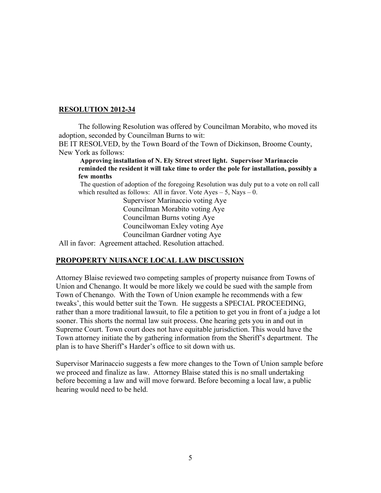### **RESOLUTION 2012-34**

The following Resolution was offered by Councilman Morabito, who moved its adoption, seconded by Councilman Burns to wit:

BE IT RESOLVED, by the Town Board of the Town of Dickinson, Broome County, New York as follows:

 **Approving installation of N. Ely Street street light. Supervisor Marinaccio reminded the resident it will take time to order the pole for installation, possibly a few months**

 The question of adoption of the foregoing Resolution was duly put to a vote on roll call which resulted as follows: All in favor. Vote  $Ayes - 5$ , Nays  $- 0$ .

> Supervisor Marinaccio voting Aye Councilman Morabito voting Aye Councilman Burns voting Aye Councilwoman Exley voting Aye Councilman Gardner voting Aye

All in favor: Agreement attached. Resolution attached.

### **PROPOPERTY NUISANCE LOCAL LAW DISCUSSION**

Attorney Blaise reviewed two competing samples of property nuisance from Towns of Union and Chenango. It would be more likely we could be sued with the sample from Town of Chenango. With the Town of Union example he recommends with a few tweaks', this would better suit the Town. He suggests a SPECIAL PROCEEDING, rather than a more traditional lawsuit, to file a petition to get you in front of a judge a lot sooner. This shorts the normal law suit process. One hearing gets you in and out in Supreme Court. Town court does not have equitable jurisdiction. This would have the Town attorney initiate the by gathering information from the Sheriff's department. The plan is to have Sheriff's Harder's office to sit down with us.

Supervisor Marinaccio suggests a few more changes to the Town of Union sample before we proceed and finalize as law. Attorney Blaise stated this is no small undertaking before becoming a law and will move forward. Before becoming a local law, a public hearing would need to be held.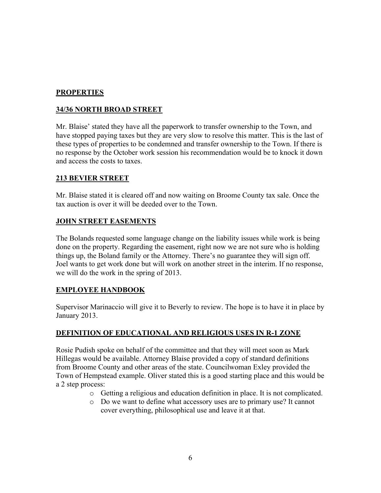### **PROPERTIES**

### **34/36 NORTH BROAD STREET**

Mr. Blaise' stated they have all the paperwork to transfer ownership to the Town, and have stopped paying taxes but they are very slow to resolve this matter. This is the last of these types of properties to be condemned and transfer ownership to the Town. If there is no response by the October work session his recommendation would be to knock it down and access the costs to taxes.

#### **213 BEVIER STREET**

Mr. Blaise stated it is cleared off and now waiting on Broome County tax sale. Once the tax auction is over it will be deeded over to the Town.

### **JOHN STREET EASEMENTS**

The Bolands requested some language change on the liability issues while work is being done on the property. Regarding the easement, right now we are not sure who is holding things up, the Boland family or the Attorney. There's no guarantee they will sign off. Joel wants to get work done but will work on another street in the interim. If no response, we will do the work in the spring of 2013.

### **EMPLOYEE HANDBOOK**

Supervisor Marinaccio will give it to Beverly to review. The hope is to have it in place by January 2013.

### **DEFINITION OF EDUCATIONAL AND RELIGIOUS USES IN R-1 ZONE**

Rosie Pudish spoke on behalf of the committee and that they will meet soon as Mark Hillegas would be available. Attorney Blaise provided a copy of standard definitions from Broome County and other areas of the state. Councilwoman Exley provided the Town of Hempstead example. Oliver stated this is a good starting place and this would be a 2 step process:

- o Getting a religious and education definition in place. It is not complicated.
- o Do we want to define what accessory uses are to primary use? It cannot cover everything, philosophical use and leave it at that.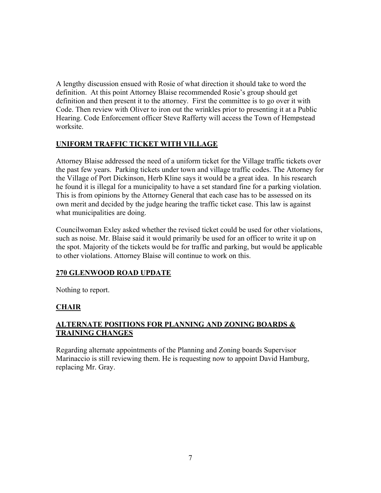A lengthy discussion ensued with Rosie of what direction it should take to word the definition. At this point Attorney Blaise recommended Rosie's group should get definition and then present it to the attorney. First the committee is to go over it with Code. Then review with Oliver to iron out the wrinkles prior to presenting it at a Public Hearing. Code Enforcement officer Steve Rafferty will access the Town of Hempstead worksite.

### **UNIFORM TRAFFIC TICKET WITH VILLAGE**

Attorney Blaise addressed the need of a uniform ticket for the Village traffic tickets over the past few years. Parking tickets under town and village traffic codes. The Attorney for the Village of Port Dickinson, Herb Kline says it would be a great idea. In his research he found it is illegal for a municipality to have a set standard fine for a parking violation. This is from opinions by the Attorney General that each case has to be assessed on its own merit and decided by the judge hearing the traffic ticket case. This law is against what municipalities are doing.

Councilwoman Exley asked whether the revised ticket could be used for other violations, such as noise. Mr. Blaise said it would primarily be used for an officer to write it up on the spot. Majority of the tickets would be for traffic and parking, but would be applicable to other violations. Attorney Blaise will continue to work on this.

# **270 GLENWOOD ROAD UPDATE**

Nothing to report.

# **CHAIR**

### **ALTERNATE POSITIONS FOR PLANNING AND ZONING BOARDS & TRAINING CHANGES**

Regarding alternate appointments of the Planning and Zoning boards Supervisor Marinaccio is still reviewing them. He is requesting now to appoint David Hamburg, replacing Mr. Gray.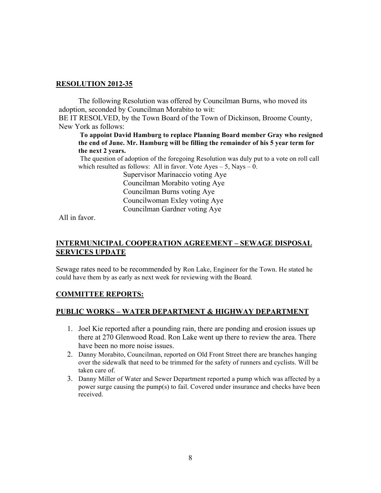#### **RESOLUTION 2012-35**

The following Resolution was offered by Councilman Burns, who moved its adoption, seconded by Councilman Morabito to wit:

BE IT RESOLVED, by the Town Board of the Town of Dickinson, Broome County, New York as follows:

**To appoint David Hamburg to replace Planning Board member Gray who resigned the end of June. Mr. Hamburg will be filling the remainder of his 5 year term for the next 2 years.**

 The question of adoption of the foregoing Resolution was duly put to a vote on roll call which resulted as follows: All in favor. Vote  $Ayes - 5$ , Nays  $- 0$ .

> Supervisor Marinaccio voting Aye Councilman Morabito voting Aye Councilman Burns voting Aye Councilwoman Exley voting Aye Councilman Gardner voting Aye

All in favor.

### **INTERMUNICIPAL COOPERATION AGREEMENT – SEWAGE DISPOSAL SERVICES UPDATE**

Sewage rates need to be recommended by Ron Lake, Engineer for the Town. He stated he could have them by as early as next week for reviewing with the Board.

### **COMMITTEE REPORTS:**

#### **PUBLIC WORKS – WATER DEPARTMENT & HIGHWAY DEPARTMENT**

- 1. Joel Kie reported after a pounding rain, there are ponding and erosion issues up there at 270 Glenwood Road. Ron Lake went up there to review the area. There have been no more noise issues.
- 2. Danny Morabito, Councilman, reported on Old Front Street there are branches hanging over the sidewalk that need to be trimmed for the safety of runners and cyclists. Will be taken care of.
- 3. Danny Miller of Water and Sewer Department reported a pump which was affected by a power surge causing the pump(s) to fail. Covered under insurance and checks have been received.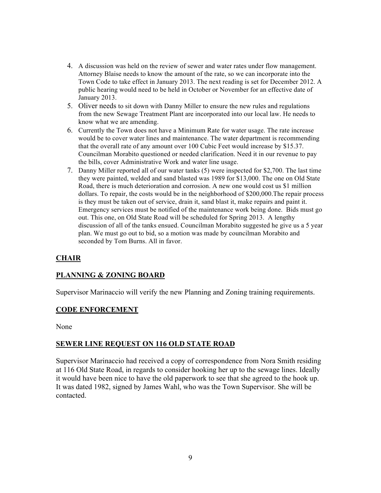- 4. A discussion was held on the review of sewer and water rates under flow management. Attorney Blaise needs to know the amount of the rate, so we can incorporate into the Town Code to take effect in January 2013. The next reading is set for December 2012. A public hearing would need to be held in October or November for an effective date of January 2013.
- 5. Oliver needs to sit down with Danny Miller to ensure the new rules and regulations from the new Sewage Treatment Plant are incorporated into our local law. He needs to know what we are amending.
- 6. Currently the Town does not have a Minimum Rate for water usage. The rate increase would be to cover water lines and maintenance. The water department is recommending that the overall rate of any amount over 100 Cubic Feet would increase by \$15.37. Councilman Morabito questioned or needed clarification. Need it in our revenue to pay the bills, cover Administrative Work and water line usage.
- 7. Danny Miller reported all of our water tanks (5) were inspected for \$2,700. The last time they were painted, welded and sand blasted was 1989 for \$13,000. The one on Old State Road, there is much deterioration and corrosion. A new one would cost us \$1 million dollars. To repair, the costs would be in the neighborhood of \$200,000.The repair process is they must be taken out of service, drain it, sand blast it, make repairs and paint it. Emergency services must be notified of the maintenance work being done. Bids must go out. This one, on Old State Road will be scheduled for Spring 2013. A lengthy discussion of all of the tanks ensued. Councilman Morabito suggested he give us a 5 year plan. We must go out to bid, so a motion was made by councilman Morabito and seconded by Tom Burns. All in favor.

### **CHAIR**

### **PLANNING & ZONING BOARD**

Supervisor Marinaccio will verify the new Planning and Zoning training requirements.

#### **CODE ENFORCEMENT**

None

#### **SEWER LINE REQUEST ON 116 OLD STATE ROAD**

Supervisor Marinaccio had received a copy of correspondence from Nora Smith residing at 116 Old State Road, in regards to consider hooking her up to the sewage lines. Ideally it would have been nice to have the old paperwork to see that she agreed to the hook up. It was dated 1982, signed by James Wahl, who was the Town Supervisor. She will be contacted.